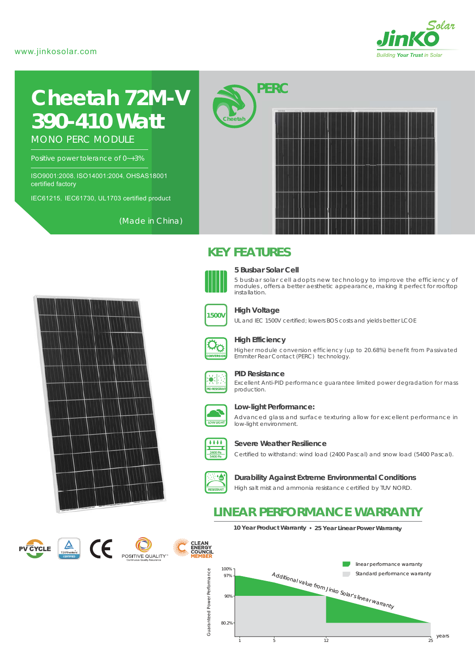### www.jinkosolar.com



# **Cheetah 72M-V** *390-410 Watt*

MONO PERC MODULE

Positive power tolerance of 0~+3%

ISO9001:2008, ISO14001:2004, OHSAS18001 certified factory

IEC61215, IEC61730, UL1703 certified product

(Made in China)





### **High Voltage**

**5 Busbar Solar Cell**

*PERC*

**KEY FEATURES** 

**Cheetah**

installation.

UL and IEC 1500V certified; lowers BOS costs and yields better LCOE



### **High Efficiency**

Higher module conversion efficiency (up to 20.68%) benefit from Passivated Emmiter Rear Contact (PERC) technology.

5 busbar solar cell adopts new technology to improve the efficiency of modules , offers a better aesthetic appearance, making it perfect for rooftop



### **PID Resistance**

Excellent Anti-PID performance guarantee limited power degradation for mass production.



### **Low-light Performance:**

Advanced glass and surface texturing allow for excellent performance in low-light environment.



#### **Severe Weather Resilience**

Certified to withstand: wind load (2400 Pascal) and snow load (5400 Pascal).



**Durability Against Extreme Environmental Conditions**

High salt mist and ammonia resistance certified by TUV NORD.

### **LINEAR PERFORMANCE WARRANTY**

**10 Year Product Warranty 25 Year Linear Power Warranty**